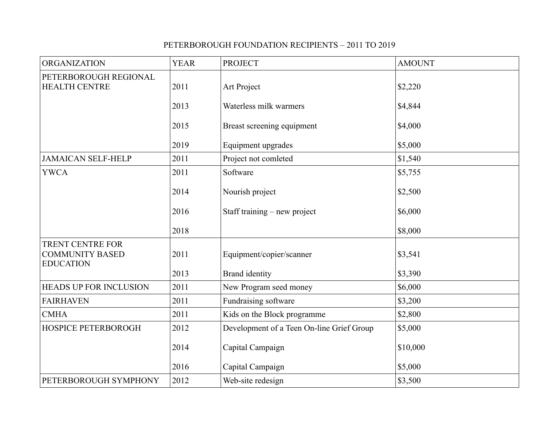## PETERBOROUGH FOUNDATION RECIPIENTS – 2011 TO 2019

| <b>ORGANIZATION</b>                                                   | <b>YEAR</b> | <b>PROJECT</b>                            | <b>AMOUNT</b> |
|-----------------------------------------------------------------------|-------------|-------------------------------------------|---------------|
| PETERBOROUGH REGIONAL<br><b>HEALTH CENTRE</b>                         | 2011        | Art Project                               | \$2,220       |
|                                                                       | 2013        | Waterless milk warmers                    | \$4,844       |
|                                                                       | 2015        | Breast screening equipment                | \$4,000       |
|                                                                       | 2019        | Equipment upgrades                        | \$5,000       |
| <b>JAMAICAN SELF-HELP</b>                                             | 2011        | Project not comleted                      | \$1,540       |
| <b>YWCA</b>                                                           | 2011        | Software                                  | \$5,755       |
|                                                                       | 2014        | Nourish project                           | \$2,500       |
|                                                                       | 2016        | Staff training – new project              | \$6,000       |
|                                                                       | 2018        |                                           | \$8,000       |
| <b>TRENT CENTRE FOR</b><br><b>COMMUNITY BASED</b><br><b>EDUCATION</b> | 2011        | Equipment/copier/scanner                  | \$3,541       |
|                                                                       | 2013        | <b>Brand</b> identity                     | \$3,390       |
| <b>HEADS UP FOR INCLUSION</b>                                         | 2011        | New Program seed money                    | \$6,000       |
| <b>FAIRHAVEN</b>                                                      | 2011        | Fundraising software                      | \$3,200       |
| <b>CMHA</b>                                                           | 2011        | Kids on the Block programme               | \$2,800       |
| <b>HOSPICE PETERBOROGH</b>                                            | 2012        | Development of a Teen On-line Grief Group | \$5,000       |
|                                                                       | 2014        | Capital Campaign                          | \$10,000      |
|                                                                       | 2016        | Capital Campaign                          | \$5,000       |
| PETERBOROUGH SYMPHONY                                                 | 2012        | Web-site redesign                         | \$3,500       |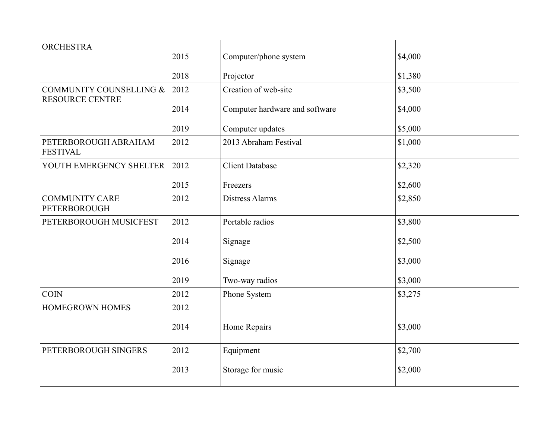| <b>ORCHESTRA</b>                                  |      |                                |         |
|---------------------------------------------------|------|--------------------------------|---------|
|                                                   | 2015 | Computer/phone system          | \$4,000 |
|                                                   | 2018 | Projector                      | \$1,380 |
| COMMUNITY COUNSELLING &<br><b>RESOURCE CENTRE</b> | 2012 | Creation of web-site           | \$3,500 |
|                                                   | 2014 | Computer hardware and software | \$4,000 |
|                                                   | 2019 | Computer updates               | \$5,000 |
| PETERBOROUGH ABRAHAM<br><b>FESTIVAL</b>           | 2012 | 2013 Abraham Festival          | \$1,000 |
| YOUTH EMERGENCY SHELTER                           | 2012 | <b>Client Database</b>         | \$2,320 |
|                                                   | 2015 | Freezers                       | \$2,600 |
| <b>COMMUNITY CARE</b><br><b>PETERBOROUGH</b>      | 2012 | Distress Alarms                | \$2,850 |
| PETERBOROUGH MUSICFEST                            | 2012 | Portable radios                | \$3,800 |
|                                                   | 2014 | Signage                        | \$2,500 |
|                                                   | 2016 | Signage                        | \$3,000 |
|                                                   | 2019 | Two-way radios                 | \$3,000 |
| <b>COIN</b>                                       | 2012 | Phone System                   | \$3,275 |
| <b>HOMEGROWN HOMES</b>                            | 2012 |                                |         |
|                                                   | 2014 | Home Repairs                   | \$3,000 |
| PETERBOROUGH SINGERS                              | 2012 | Equipment                      | \$2,700 |
|                                                   | 2013 | Storage for music              | \$2,000 |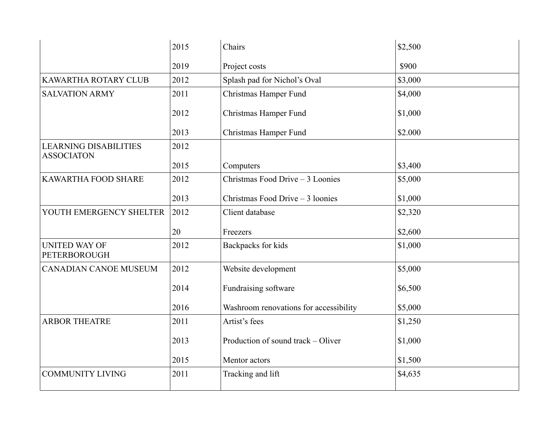|                                                   | 2015 | Chairs                                 | \$2,500 |
|---------------------------------------------------|------|----------------------------------------|---------|
|                                                   | 2019 | Project costs                          | \$900   |
| KAWARTHA ROTARY CLUB                              | 2012 | Splash pad for Nichol's Oval           | \$3,000 |
| <b>SALVATION ARMY</b>                             | 2011 | Christmas Hamper Fund                  | \$4,000 |
|                                                   | 2012 | Christmas Hamper Fund                  | \$1,000 |
|                                                   | 2013 | Christmas Hamper Fund                  | \$2.000 |
| <b>LEARNING DISABILITIES</b><br><b>ASSOCIATON</b> | 2012 |                                        |         |
|                                                   | 2015 | Computers                              | \$3,400 |
| KAWARTHA FOOD SHARE                               | 2012 | Christmas Food Drive - 3 Loonies       | \$5,000 |
|                                                   | 2013 | Christmas Food Drive - 3 loonies       | \$1,000 |
| YOUTH EMERGENCY SHELTER                           | 2012 | Client database                        | \$2,320 |
|                                                   | 20   | Freezers                               | \$2,600 |
| <b>UNITED WAY OF</b><br><b>PETERBOROUGH</b>       | 2012 | Backpacks for kids                     | \$1,000 |
| <b>CANADIAN CANOE MUSEUM</b>                      | 2012 | Website development                    | \$5,000 |
|                                                   | 2014 | Fundraising software                   | \$6,500 |
|                                                   | 2016 | Washroom renovations for accessibility | \$5,000 |
| <b>ARBOR THEATRE</b>                              | 2011 | Artist's fees                          | \$1,250 |
|                                                   | 2013 | Production of sound track – Oliver     | \$1,000 |
|                                                   | 2015 | Mentor actors                          | \$1,500 |
| <b>COMMUNITY LIVING</b>                           | 2011 | Tracking and lift                      | \$4,635 |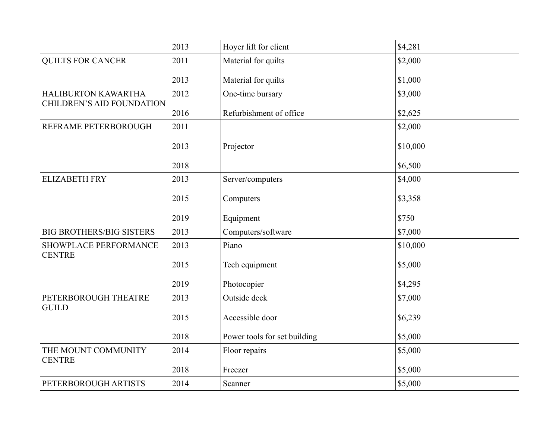|                                      | 2013 | Hoyer lift for client        | \$4,281  |
|--------------------------------------|------|------------------------------|----------|
| <b>QUILTS FOR CANCER</b>             | 2011 | Material for quilts          | \$2,000  |
|                                      | 2013 | Material for quilts          | \$1,000  |
| HALIBURTON KAWARTHA                  | 2012 | One-time bursary             | \$3,000  |
| CHILDREN'S AID FOUNDATION            | 2016 | Refurbishment of office      | \$2,625  |
| REFRAME PETERBOROUGH                 | 2011 |                              | \$2,000  |
|                                      | 2013 | Projector                    | \$10,000 |
|                                      | 2018 |                              | \$6,500  |
| <b>ELIZABETH FRY</b>                 | 2013 | Server/computers             | \$4,000  |
|                                      | 2015 | Computers                    | \$3,358  |
|                                      | 2019 | Equipment                    | \$750    |
| <b>BIG BROTHERS/BIG SISTERS</b>      | 2013 | Computers/software           | \$7,000  |
| <b>SHOWPLACE PERFORMANCE</b>         | 2013 | Piano                        | \$10,000 |
| <b>CENTRE</b>                        | 2015 | Tech equipment               | \$5,000  |
|                                      | 2019 | Photocopier                  | \$4,295  |
| PETERBOROUGH THEATRE                 | 2013 | Outside deck                 | \$7,000  |
| <b>GUILD</b>                         | 2015 | Accessible door              | \$6,239  |
|                                      | 2018 | Power tools for set building | \$5,000  |
| THE MOUNT COMMUNITY<br><b>CENTRE</b> | 2014 | Floor repairs                | \$5,000  |
|                                      | 2018 | Freezer                      | \$5,000  |
| PETERBOROUGH ARTISTS                 | 2014 | Scanner                      | \$5,000  |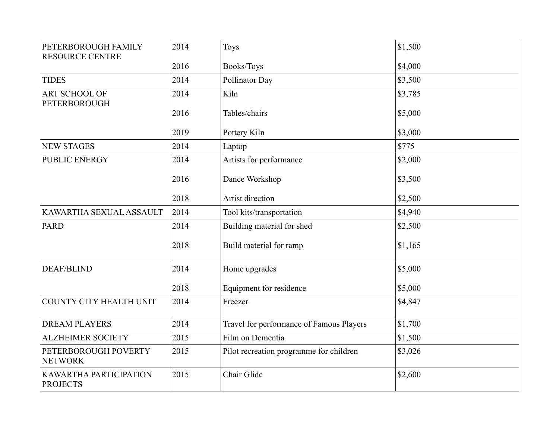| PETERBOROUGH FAMILY<br><b>RESOURCE CENTRE</b> | 2014 | Toys                                     | \$1,500 |
|-----------------------------------------------|------|------------------------------------------|---------|
|                                               | 2016 | Books/Toys                               | \$4,000 |
| <b>TIDES</b>                                  | 2014 | Pollinator Day                           | \$3,500 |
| <b>ART SCHOOL OF</b><br><b>PETERBOROUGH</b>   | 2014 | Kiln                                     | \$3,785 |
|                                               | 2016 | Tables/chairs                            | \$5,000 |
|                                               | 2019 | Pottery Kiln                             | \$3,000 |
| <b>NEW STAGES</b>                             | 2014 | Laptop                                   | \$775   |
| <b>PUBLIC ENERGY</b>                          | 2014 | Artists for performance                  | \$2,000 |
|                                               | 2016 | Dance Workshop                           | \$3,500 |
|                                               | 2018 | Artist direction                         | \$2,500 |
| KAWARTHA SEXUAL ASSAULT                       | 2014 | Tool kits/transportation                 | \$4,940 |
| <b>PARD</b>                                   | 2014 | Building material for shed               | \$2,500 |
|                                               | 2018 | Build material for ramp                  | \$1,165 |
| <b>DEAF/BLIND</b>                             | 2014 | Home upgrades                            | \$5,000 |
|                                               | 2018 | Equipment for residence                  | \$5,000 |
| COUNTY CITY HEALTH UNIT                       | 2014 | Freezer                                  | \$4,847 |
| <b>DREAM PLAYERS</b>                          | 2014 | Travel for performance of Famous Players | \$1,700 |
| <b>ALZHEIMER SOCIETY</b>                      | 2015 | Film on Dementia                         | \$1,500 |
| PETERBOROUGH POVERTY<br><b>NETWORK</b>        | 2015 | Pilot recreation programme for children  | \$3,026 |
| KAWARTHA PARTICIPATION<br><b>PROJECTS</b>     | 2015 | Chair Glide                              | \$2,600 |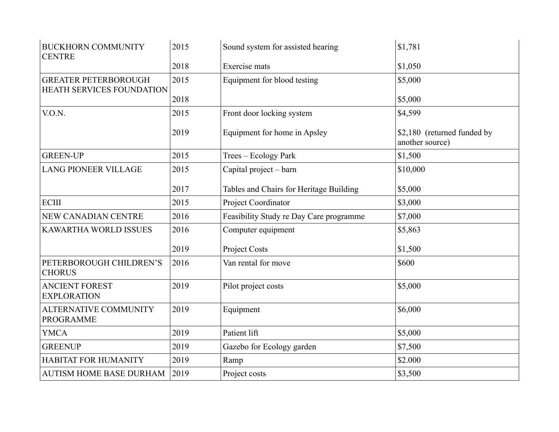| <b>BUCKHORN COMMUNITY</b><br><b>CENTRE</b>               | 2015 | Sound system for assisted hearing       | \$1,781                                        |
|----------------------------------------------------------|------|-----------------------------------------|------------------------------------------------|
|                                                          | 2018 | Exercise mats                           | \$1,050                                        |
| <b>GREATER PETERBOROUGH</b><br>HEATH SERVICES FOUNDATION | 2015 | Equipment for blood testing             | \$5,000                                        |
|                                                          | 2018 |                                         | \$5,000                                        |
| V.O.N.                                                   | 2015 | Front door locking system               | \$4,599                                        |
|                                                          | 2019 | Equipment for home in Apsley            | \$2,180 (returned funded by<br>another source) |
| <b>GREEN-UP</b>                                          | 2015 | Trees - Ecology Park                    | \$1,500                                        |
| <b>LANG PIONEER VILLAGE</b>                              | 2015 | Capital project – barn                  | \$10,000                                       |
|                                                          | 2017 | Tables and Chairs for Heritage Building | \$5,000                                        |
| <b>ECIII</b>                                             | 2015 | Project Coordinator                     | \$3,000                                        |
| NEW CANADIAN CENTRE                                      | 2016 | Feasibility Study re Day Care programme | \$7,000                                        |
| <b>KAWARTHA WORLD ISSUES</b>                             | 2016 | Computer equipment                      | \$5,863                                        |
|                                                          | 2019 | Project Costs                           | \$1,500                                        |
| PETERBOROUGH CHILDREN'S<br><b>CHORUS</b>                 | 2016 | Van rental for move                     | \$600                                          |
| <b>ANCIENT FOREST</b><br><b>EXPLORATION</b>              | 2019 | Pilot project costs                     | \$5,000                                        |
| <b>ALTERNATIVE COMMUNITY</b><br><b>PROGRAMME</b>         | 2019 | Equipment                               | \$6,000                                        |
| <b>YMCA</b>                                              | 2019 | Patient lift                            | \$5,000                                        |
| <b>GREENUP</b>                                           | 2019 | Gazebo for Ecology garden               | \$7,500                                        |
| <b>HABITAT FOR HUMANITY</b>                              | 2019 | Ramp                                    | \$2.000                                        |
| <b>AUTISM HOME BASE DURHAM</b>                           | 2019 | Project costs                           | \$3,500                                        |